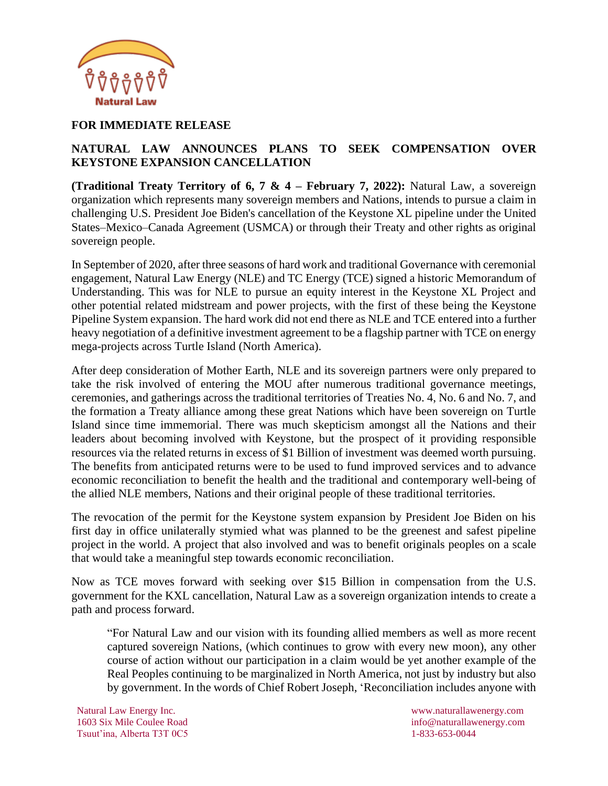

### **FOR IMMEDIATE RELEASE**

# **NATURAL LAW ANNOUNCES PLANS TO SEEK COMPENSATION OVER KEYSTONE EXPANSION CANCELLATION**

**(Traditional Treaty Territory of 6, 7 & 4 – February 7, 2022):** Natural Law, a sovereign organization which represents many sovereign members and Nations, intends to pursue a claim in challenging U.S. President Joe Biden's cancellation of the Keystone XL pipeline under the United States–Mexico–Canada Agreement (USMCA) or through their Treaty and other rights as original sovereign people.

In September of 2020, after three seasons of hard work and traditional Governance with ceremonial engagement, Natural Law Energy (NLE) and TC Energy (TCE) signed a historic Memorandum of Understanding. This was for NLE to pursue an equity interest in the Keystone XL Project and other potential related midstream and power projects, with the first of these being the Keystone Pipeline System expansion. The hard work did not end there as NLE and TCE entered into a further heavy negotiation of a definitive investment agreement to be a flagship partner with TCE on energy mega-projects across Turtle Island (North America).

After deep consideration of Mother Earth, NLE and its sovereign partners were only prepared to take the risk involved of entering the MOU after numerous traditional governance meetings, ceremonies, and gatherings across the traditional territories of Treaties No. 4, No. 6 and No. 7, and the formation a Treaty alliance among these great Nations which have been sovereign on Turtle Island since time immemorial. There was much skepticism amongst all the Nations and their leaders about becoming involved with Keystone, but the prospect of it providing responsible resources via the related returns in excess of \$1 Billion of investment was deemed worth pursuing. The benefits from anticipated returns were to be used to fund improved services and to advance economic reconciliation to benefit the health and the traditional and contemporary well-being of the allied NLE members, Nations and their original people of these traditional territories.

The revocation of the permit for the Keystone system expansion by President Joe Biden on his first day in office unilaterally stymied what was planned to be the greenest and safest pipeline project in the world. A project that also involved and was to benefit originals peoples on a scale that would take a meaningful step towards economic reconciliation.

Now as TCE moves forward with seeking over \$15 Billion in compensation from the U.S. government for the KXL cancellation, Natural Law as a sovereign organization intends to create a path and process forward.

"For Natural Law and our vision with its founding allied members as well as more recent captured sovereign Nations, (which continues to grow with every new moon), any other course of action without our participation in a claim would be yet another example of the Real Peoples continuing to be marginalized in North America, not just by industry but also by government. In the words of Chief Robert Joseph, 'Reconciliation includes anyone with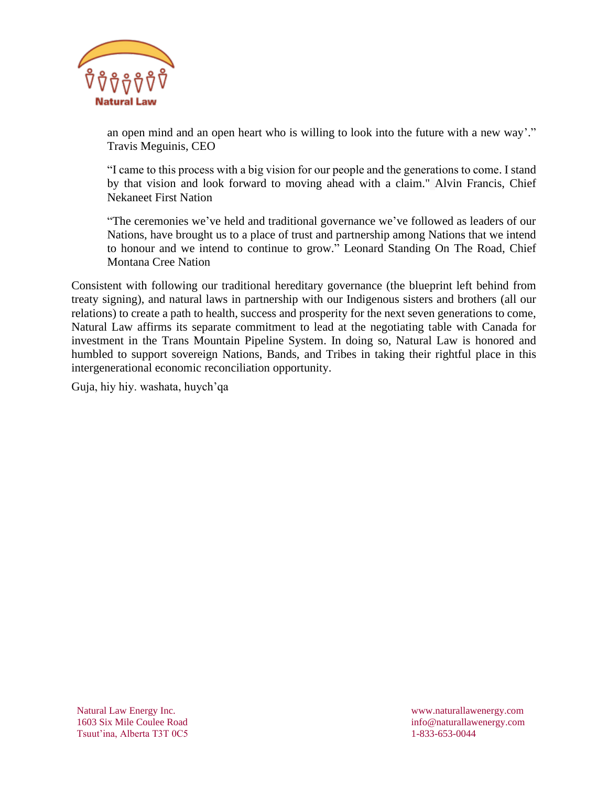

an open mind and an open heart who is willing to look into the future with a new way'." Travis Meguinis, CEO

"I came to this process with a big vision for our people and the generations to come. I stand by that vision and look forward to moving ahead with a claim." Alvin Francis, Chief Nekaneet First Nation

"The ceremonies we've held and traditional governance we've followed as leaders of our Nations, have brought us to a place of trust and partnership among Nations that we intend to honour and we intend to continue to grow." Leonard Standing On The Road, Chief Montana Cree Nation

Consistent with following our traditional hereditary governance (the blueprint left behind from treaty signing), and natural laws in partnership with our Indigenous sisters and brothers (all our relations) to create a path to health, success and prosperity for the next seven generations to come, Natural Law affirms its separate commitment to lead at the negotiating table with Canada for investment in the Trans Mountain Pipeline System. In doing so, Natural Law is honored and humbled to support sovereign Nations, Bands, and Tribes in taking their rightful place in this intergenerational economic reconciliation opportunity.

Guja, hiy hiy. washata, huych'qa